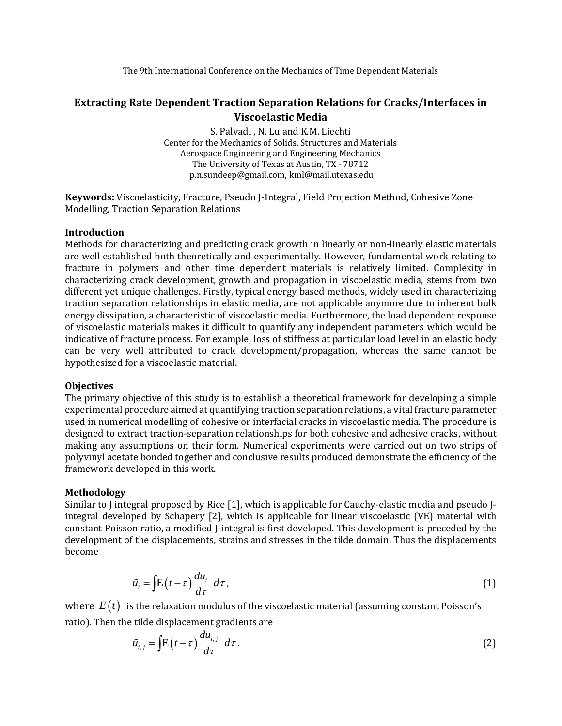The 9th International Conference on the Mechanics of Time Dependent Materials

# **Extracting Rate Dependent Traction Separation Relations for Cracks/Interfaces in Viscoelastic Media**

S. Palvadi , N. Lu and K.M. Liechti Center for the Mechanics of Solids, Structures and Materials Aerospace Engineering and Engineering Mechanics The University of Texas at Austin, TX - 78712 p.n.sundeep@gmail.com, kml@mail.utexas.edu

**Keywords:** Viscoelasticity, Fracture, Pseudo J-Integral, Field Projection Method, Cohesive Zone Modelling, Traction Separation Relations

### **Introduction**

Methods for characterizing and predicting crack growth in linearly or non-linearly elastic materials are well established both theoretically and experimentally. However, fundamental work relating to fracture in polymers and other time dependent materials is relatively limited. Complexity in characterizing crack development, growth and propagation in viscoelastic media, stems from two different yet unique challenges. Firstly, typical energy based methods, widely used in characterizing traction separation relationships in elastic media, are not applicable anymore due to inherent bulk energy dissipation, a characteristic of viscoelastic media. Furthermore, the load dependent response of viscoelastic materials makes it difficult to quantify any independent parameters which would be indicative of fracture process. For example, loss of stiffness at particular load level in an elastic body can be very well attributed to crack development/propagation, whereas the same cannot be hypothesized for a viscoelastic material.

#### **Objectives**

The primary objective of this study is to establish a theoretical framework for developing a simple experimental procedure aimed at quantifying traction separation relations, a vital fracture parameter used in numerical modelling of cohesive or interfacial cracks in viscoelastic media. The procedure is designed to extract traction-separation relationships for both cohesive and adhesive cracks, without making any assumptions on their form. Numerical experiments were carried out on two strips of polyvinyl acetate bonded together and conclusive results produced demonstrate the efficiency of the framework developed in this work.

## **Methodology**

Similar to J integral proposed by Rice [1], which is applicable for Cauchy-elastic media and pseudo Jintegral developed by Schapery [2], which is applicable for linear viscoelastic (VE) material with constant Poisson ratio, a modified J-integral is first developed. This development is preceded by the development of the displacements, strains and stresses in the tilde domain. Thus the displacements become

$$
\tilde{u}_i = \int \! E(t - \tau) \frac{du_i}{d\tau} \, d\tau, \tag{1}
$$

where  $\,E(t)\,$  is the relaxation modulus of the viscoelastic material (assuming constant Poisson's ratio). Then the tilde displacement gradients are

$$
\tilde{u}_{i,j} = \int \! E(t-\tau) \frac{du_{i,j}}{d\tau} \, d\tau \,. \tag{2}
$$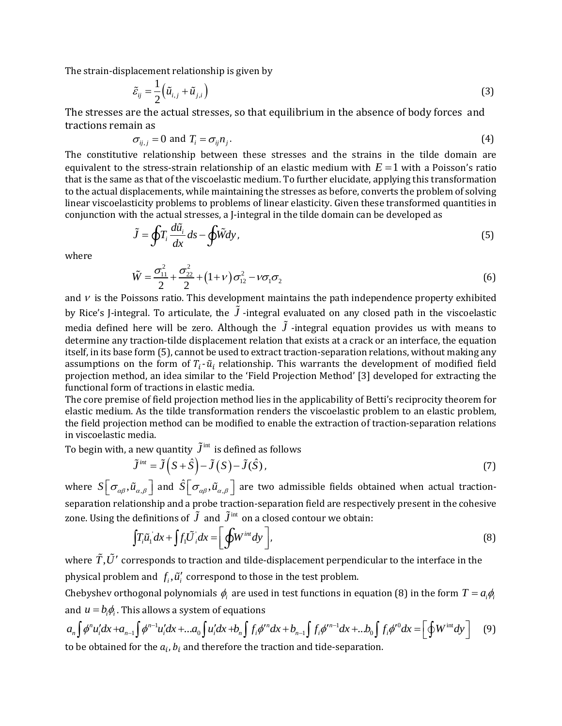The strain-displacement relationship is given by

$$
\tilde{\varepsilon}_{ij} = \frac{1}{2} \left( \tilde{u}_{i,j} + \tilde{u}_{j,i} \right)
$$
\n(3)

The stresses are the actual stresses, so that equilibrium in the absence of body forces and tractions remain as

$$
\sigma_{ij,j} = 0 \text{ and } T_i = \sigma_{ij} n_j. \tag{4}
$$

The constitutive relationship between these stresses and the strains in the tilde domain are equivalent to the stress-strain relationship of an elastic medium with  $E = 1$  with a Poisson's ratio that is the same as that of the viscoelastic medium. To further elucidate, applying this transformation to the actual displacements, while maintaining the stresses as before, converts the problem of solving linear viscoelasticity problems to problems of linear elasticity. Given these transformed quantities in conjunction with the actual stresses, a J-integral in the tilde domain can be developed as

$$
\tilde{J} = \oint T_i \frac{d\tilde{u}_i}{dx} ds - \oint \tilde{W} dy,
$$
\n(5)

where

$$
\tilde{W} = \frac{\sigma_{11}^2}{2} + \frac{\sigma_{22}^2}{2} + (1 + \nu)\sigma_{12}^2 - \nu\sigma_1\sigma_2
$$
\n(6)

and  $\nu$  is the Poissons ratio. This development maintains the path independence property exhibited by Rice's J-integral. To articulate, the *J*-integral evaluated on any closed path in the viscoelastic media defined here will be zero. Although the  $J$  -integral equation provides us with means to determine any traction-tilde displacement relation that exists at a crack or an interface, the equation itself, in its base form (5), cannot be used to extract traction-separation relations, without making any assumptions on the form of  $T_i$ - $\tilde{u}_i$  relationship. This warrants the development of modified field projection method, an idea similar to the 'Field Projection Method' [3] developed for extracting the functional form of tractions in elastic media.

The core premise of field projection method lies in the applicability of Betti's reciprocity theorem for elastic medium. As the tilde transformation renders the viscoelastic problem to an elastic problem, the field projection method can be modified to enable the extraction of traction-separation relations in viscoelastic media.

To begin with, a new quantity 
$$
\tilde{J}^{\text{int}}
$$
 is defined as follows  
\n
$$
\tilde{J}^{\text{int}} = \tilde{J}(S + \hat{S}) - \tilde{J}(S) - \tilde{J}(\hat{S}),
$$
\n(7)

where  $S\Big[\sigma_{_{\alpha\beta}}, \tilde{u}_{_{\alpha,\beta}}\Big]$  and  $\hat{S}\Big[\sigma_{_{\alpha\beta}}, \tilde{u}_{_{\alpha,\beta}}\Big]$  are two admissible fields obtained when actual tractionseparation relationship and a probe traction-separation field are respectively present in the cohesive zone. Using the definitions of  $\widetilde{J}$  and  $\widetilde{J}^\text{int}$  on a closed contour we obtain:

definitions of J and 
$$
J^{\text{m}}
$$
 on a closed contour we obtain:  
\n
$$
\int T_i \tilde{u}_1 dx + \int f_1 \tilde{U}_i dx = \left[ \oint W^{int} dy \right],
$$
\n(8)

physical problem and  $f_i$ ,  $\tilde{u}'_i$  correspond to those in the test problem.

Chebyshev orthogonal polynomials  $\phi_i$  are used in test functions in equation (8) in the form  $T = a_i \phi_i$ <br>and  $u = b_i \phi_i$ . This allows a system of equations<br> $a_n \int \phi^n u'_i dx + a_{n-1} \int \phi^{n-1} u'_i dx + ... a_0 \int u'_i dx + b_n \int f_i \phi'^n dx + b_{n-1} \int f_i \phi$ and  $u = b_i \phi_i$ . This allows a system of equations

where 
$$
\tilde{T}
$$
,  $\tilde{U}'$  corresponds to traction and tilde-displacement perpendicular to the interface in the physical problem and  $f_i$ ,  $\tilde{u}'_i$  correspond to those in the test problem.  
Chebyshev orthogonal polynomials  $\phi_i$  are used in test functions in equation (8) in the form  $T = a_i \phi_i$  and  $u = b_i \phi_i$ . This allows a system of equations  

$$
a_n \int \phi^n u'_i dx + a_{n-1} \int \phi^{n-1} u'_i dx + ... a_0 \int u'_i dx + b_n \int f_i \phi'^n dx + b_{n-1} \int f_i \phi'^{n-1} dx + ... b_0 \int f_i \phi'^0 dx = \left[ \oint W^{\text{int}} dy \right]
$$
 (9) to be obtained for the  $a_i$ ,  $b_i$  and therefore the traction and tide-separation.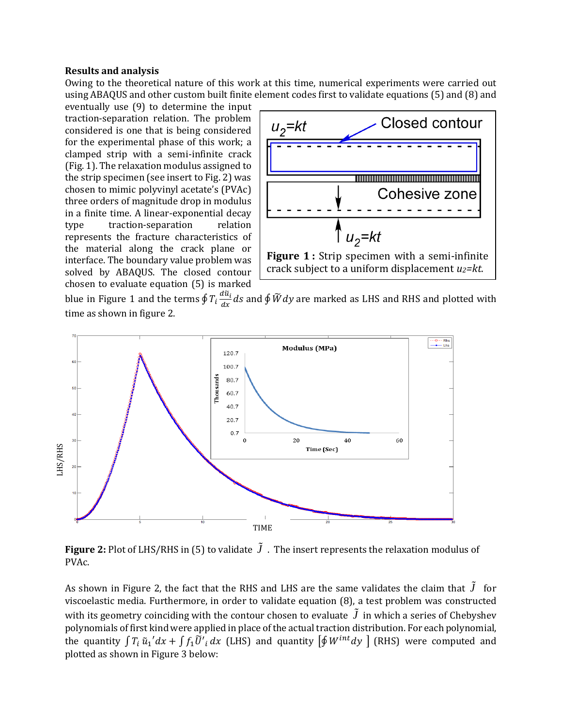#### **Results and analysis**

Owing to the theoretical nature of this work at this time, numerical experiments were carried out using ABAQUS and other custom built finite element codes first to validate equations (5) and (8) and

eventually use (9) to determine the input traction-separation relation. The problem considered is one that is being considered for the experimental phase of this work; a clamped strip with a semi-infinite crack (Fig. 1). The relaxation modulus assigned to the strip specimen (see insert to Fig. 2) was chosen to mimic polyvinyl acetate's (PVAc) three orders of magnitude drop in modulus in a finite time. A linear-exponential decay type traction-separation relation represents the fracture characteristics of the material along the crack plane or interface. The boundary value problem was solved by ABAQUS. The closed contour chosen to evaluate equation (5) is marked



blue in Figure 1 and the terms  $\oint T_i \frac{d\tilde{u}_i}{dx}$  $\frac{du_i}{dx}$ ds and  $\oint \widetilde{W} dy$  are marked as LHS and RHS and plotted with time as shown in figure 2.



Figure 2: Plot of LHS/RHS in (5) to validate  $J$ . The insert represents the relaxation modulus of PVAc.

As shown in Figure 2, the fact that the RHS and LHS are the same validates the claim that *J* for viscoelastic media. Furthermore, in order to validate equation (8), a test problem was constructed with its geometry coinciding with the contour chosen to evaluate  $J$  in which a series of Chebyshev polynomials of first kind were applied in place of the actual traction distribution. For each polynomial, the quantity  $\int T_i \tilde{u}_1' dx + \int f_1 \tilde{U'}_i dx$  (LHS) and quantity  $\left[\oint W^{int} dy\right]$  (RHS) were computed and plotted as shown in Figure 3 below: